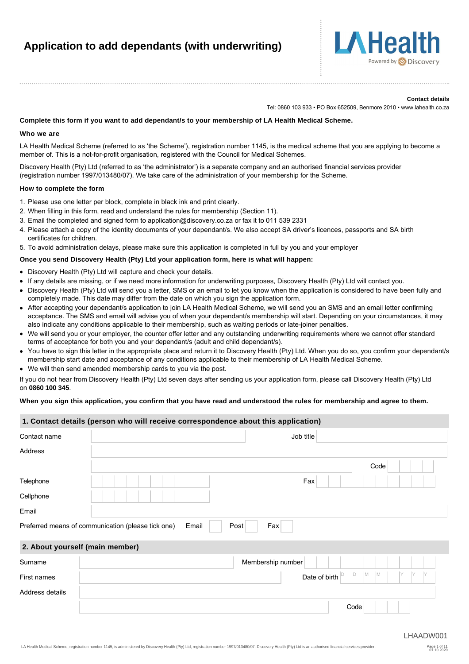# **Application to add dependants (with underwriting)**



#### **Contact details**

Tel: 0860 103 933 • PO Box 652509, Benmore 2010 • www.lahealth.co.za

#### **Complete this form if you want to add dependant/s to your membership of LA Health Medical Scheme.**

#### **Who we are**

LA Health Medical Scheme (referred to as 'the Scheme'), registration number 1145, is the medical scheme that you are applying to become a member of. This is a not-for-profit organisation, registered with the Council for Medical Schemes.

Discovery Health (Pty) Ltd (referred to as 'the administrator') is a separate company and an authorised financial services provider (registration number 1997/013480/07). We take care of the administration of your membership for the Scheme.

#### **How to complete the form**

- 1. Please use one letter per block, complete in black ink and print clearly.
- 2. When filling in this form, read and understand the rules for membership (Section 11).
- 3. Email the completed and signed form to application@discovery.co.za or fax it to 011 539 2331
- 4. Please attach a copy of the identity documents of your dependant/s. We also accept SA driver's licences, passports and SA birth certificates for children.
- 5. To avoid administration delays, please make sure this application is completed in full by you and your employer

#### **Once you send Discovery Health (Pty) Ltd your application form, here is what will happen:**

- Discovery Health (Pty) Ltd will capture and check your details.
- If any details are missing, or if we need more information for underwriting purposes, Discovery Health (Pty) Ltd will contact you.
- Discovery Health (Pty) Ltd will send you a letter, SMS or an email to let you know when the application is considered to have been fully and completely made. This date may differ from the date on which you sign the application form.
- After accepting your dependant/s application to join LA Health Medical Scheme, we will send you an SMS and an email letter confirming acceptance. The SMS and email will advise you of when your dependant/s membership will start. Depending on your circumstances, it may also indicate any conditions applicable to their membership, such as waiting periods or late-joiner penalties.
- We will send you or your employer, the counter offer letter and any outstanding underwriting requirements where we cannot offer standard terms of acceptance for both you and your dependant/s (adult and child dependant/s)*.*
- You have to sign this letter in the appropriate place and return it to Discovery Health (Pty) Ltd. When you do so, you confirm your dependant/s membership start date and acceptance of any conditions applicable to their membership of LA Health Medical Scheme.
- We will then send amended membership cards to you via the post.

If you do not hear from Discovery Health (Pty) Ltd seven days after sending us your application form, please call Discovery Health (Pty) Ltd on **0860 100 345**.

#### **When you sign this application, you confirm that you have read and understood the rules for membership and agree to them.**

|                 | 1. Contact details (person who will receive correspondence about this application) |
|-----------------|------------------------------------------------------------------------------------|
| Contact name    | Job title                                                                          |
| Address         |                                                                                    |
|                 | Code                                                                               |
| Telephone       | Fax                                                                                |
| Cellphone       |                                                                                    |
| Email           |                                                                                    |
|                 | Preferred means of communication (please tick one)<br>Post<br>Fax<br>Email         |
|                 | 2. About yourself (main member)                                                    |
| Surname         | Membership number                                                                  |
| First names     | M<br>ID<br>M<br>Date of birth                                                      |
| Address details |                                                                                    |

Code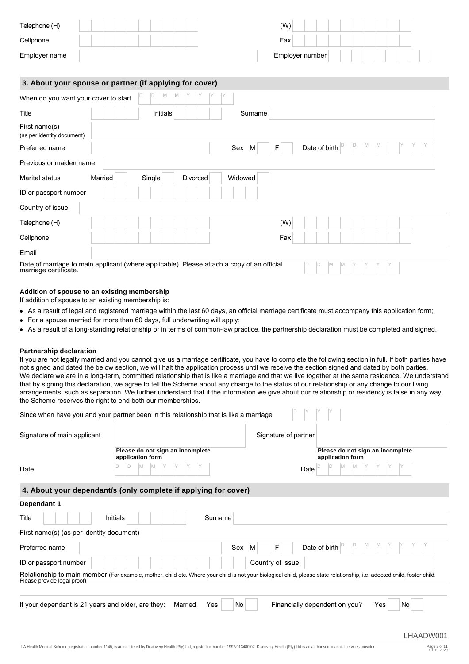| Telephone (H) | (W)             |  |
|---------------|-----------------|--|
| Cellphone     | Fax             |  |
| Employer name | Employer number |  |

## **3. About your spouse or partner (if applying for cover)**

|                                                                                                                  |         | $\sim$ parance in approximate |          |               |     |                |   |    |  |
|------------------------------------------------------------------------------------------------------------------|---------|-------------------------------|----------|---------------|-----|----------------|---|----|--|
| When do you want your cover to start                                                                             |         | D<br>M<br>M                   |          |               |     |                |   |    |  |
| Title                                                                                                            |         | Initials                      |          | Surname       |     |                |   |    |  |
| First name(s)<br>(as per identity document)                                                                      |         |                               |          |               |     |                |   |    |  |
| Preferred name                                                                                                   |         |                               |          | Sex<br>F<br>M |     | Date of birth  | М | ΙM |  |
| Previous or maiden name                                                                                          |         |                               |          |               |     |                |   |    |  |
| Marital status                                                                                                   | Married | Single                        | Divorced | Widowed       |     |                |   |    |  |
| ID or passport number                                                                                            |         |                               |          |               |     |                |   |    |  |
| Country of issue                                                                                                 |         |                               |          |               |     |                |   |    |  |
| Telephone (H)                                                                                                    |         |                               |          |               | (W) |                |   |    |  |
| Cellphone                                                                                                        |         |                               |          |               | Fax |                |   |    |  |
| Email                                                                                                            |         |                               |          |               |     |                |   |    |  |
| Date of marriage to main applicant (where applicable). Please attach a copy of an official marriage certificate. |         |                               |          |               | ID. | ID<br>M<br>IM. |   |    |  |

## **Addition of spouse to an existing membership**

If addition of spouse to an existing membership is:

- As a result of legal and registered marriage within the last 60 days, an official marriage certificate must accompany this application form;
- For a spouse married for more than 60 days, full underwriting will apply;
- As a result of a long-standing relationship or in terms of common-law practice, the partnership declaration must be completed and signed.

#### **Partnership declaration**

If you are not legally married and you cannot give us a marriage certificate, you have to complete the following section in full. If both parties have not signed and dated the below section, we will halt the application process until we receive the section signed and dated by both parties. We declare we are in a long-term, committed relationship that is like a marriage and that we live together at the same residence. We understand that by signing this declaration, we agree to tell the Scheme about any change to the status of our relationship or any change to our living arrangements, such as separation. We further understand that if the information we give about our relationship or residency is false in any way, the Scheme reserves the right to end both our memberships.

| Since when have you and your partner been in this relationship that is like a marriage |  |  |  |
|----------------------------------------------------------------------------------------|--|--|--|
|                                                                                        |  |  |  |

| Signature of main applicant |                                                      | Signature of partner |                                                                                                                                                                                                                |
|-----------------------------|------------------------------------------------------|----------------------|----------------------------------------------------------------------------------------------------------------------------------------------------------------------------------------------------------------|
|                             | Please do not sign an incomplete<br>application form |                      | Please do not sign an incomplete<br>application form                                                                                                                                                           |
| Date                        |                                                      |                      | <b>Date</b> $\begin{bmatrix} D \\ P \end{bmatrix}$ $\begin{bmatrix} M \\ M \end{bmatrix}$ $\begin{bmatrix} M \\ Y \end{bmatrix}$ $\begin{bmatrix} Y \\ Y \end{bmatrix}$ $\begin{bmatrix} Y \\ Y \end{bmatrix}$ |

## **4. About your dependant/s (only complete if applying for cover)**

| Dependant 1                                                                                                                                                                                             |                                                  |
|---------------------------------------------------------------------------------------------------------------------------------------------------------------------------------------------------------|--------------------------------------------------|
| Title<br>Initials<br>Surname                                                                                                                                                                            |                                                  |
| First name(s) (as per identity document)                                                                                                                                                                |                                                  |
| Preferred name                                                                                                                                                                                          | Date of birth<br>Sex<br>F<br>M                   |
| ID or passport number                                                                                                                                                                                   | Country of issue                                 |
| Relationship to main member (For example, mother, child etc. Where your child is not your biological child, please state relationship, i.e. adopted child, foster child.<br>Please provide legal proof) |                                                  |
| If your dependant is 21 years and older, are they:<br>Married<br>Yes                                                                                                                                    | No<br>Financially dependent on you?<br>No<br>Yes |
|                                                                                                                                                                                                         |                                                  |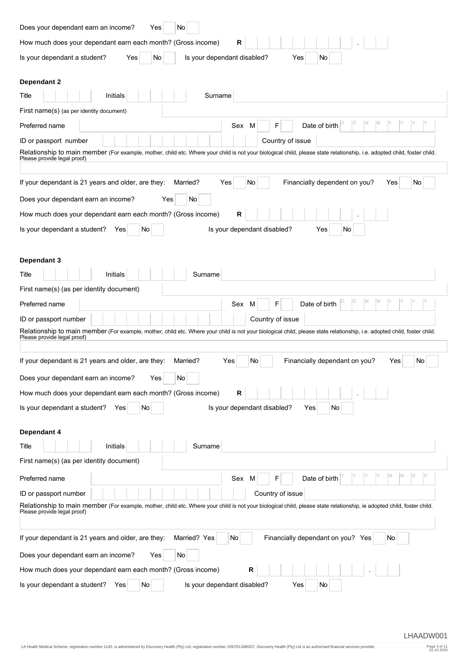| Does your dependant earn an income?<br>No<br>Yes                                                                                                                                                        |
|---------------------------------------------------------------------------------------------------------------------------------------------------------------------------------------------------------|
| How much does your dependant earn each month? (Gross income)<br>R                                                                                                                                       |
| Is your dependant a student?<br>Yes<br>Is your dependant disabled?<br>No<br>Yes<br>No.                                                                                                                  |
| <b>Dependant 2</b>                                                                                                                                                                                      |
| Initials<br>Surname<br>Title                                                                                                                                                                            |
| First name(s) (as per identity document)                                                                                                                                                                |
| M<br>M<br>D<br>Date of birth<br>Preferred name<br>Sex<br>F<br>M                                                                                                                                         |
| Country of issue<br>ID or passport number                                                                                                                                                               |
| Relationship to main member (For example, mother, child etc. Where your child is not your biological child, please state relationship, i.e. adopted child, foster child.<br>Please provide legal proof) |
| Financially dependent on you?<br>If your dependant is 21 years and older, are they:<br>No<br>Married?<br>Yes<br>No<br>Yes                                                                               |
| Does your dependant earn an income?<br>No<br>Yes                                                                                                                                                        |
| R<br>How much does your dependant earn each month? (Gross income)                                                                                                                                       |
| Is your dependant a student?<br>Is your dependant disabled?<br>Yes<br>No.<br>Yes<br>No                                                                                                                  |
| Dependant 3                                                                                                                                                                                             |
| Initials<br>Surname<br>Title                                                                                                                                                                            |
| First name(s) (as per identity document)                                                                                                                                                                |
| D<br>M<br>M<br>Preferred name<br>Date of birth<br>F<br>Sex<br>M                                                                                                                                         |
| ID or passport number<br>Country of issue                                                                                                                                                               |
| Relationship to main member (For example, mother, child etc. Where your child is not your biological child, please state relationship, i.e. adopted child, foster child.<br>Please provide legal proof) |
| If your dependant is 21 years and older, are they:<br>Financially dependant on you?<br>Married?<br>Yes<br>No<br>Yes<br>No.                                                                              |
| Does your dependant earn an income?<br>No<br>Yes                                                                                                                                                        |
| How much does your dependant earn each month? (Gross income)<br>R                                                                                                                                       |
| Is your dependant a student?<br>Is your dependant disabled?<br>Yes<br>No.<br>Yes<br>No.                                                                                                                 |
| Dependant 4                                                                                                                                                                                             |
| Surname<br>Title<br>Initials                                                                                                                                                                            |
| First name(s) (as per identity document)                                                                                                                                                                |
| M<br>D<br>ID<br>M<br>Date of birth<br>Preferred name<br>Sex M<br>F                                                                                                                                      |
| ID or passport number<br>Country of issue                                                                                                                                                               |
| Relationship to main member (For example, mother, child etc. Where your child is not your biological child, please state relationship, ie adopted child, foster child.<br>Please provide legal proof)   |
| If your dependant is 21 years and older, are they:<br>Married? Yes<br>Financially dependant on you? Yes<br>No<br>No.                                                                                    |
| Does your dependant earn an income?<br>No<br>Yes                                                                                                                                                        |
| R<br>How much does your dependant earn each month? (Gross income)                                                                                                                                       |
| Is your dependant a student?<br>Is your dependant disabled?<br>Yes<br>Yes<br>No.<br>No.                                                                                                                 |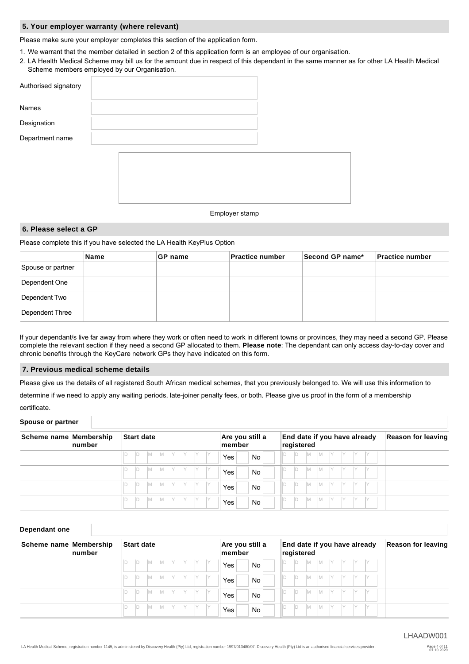#### **5. Your employer warranty (where relevant)**

Please make sure your employer completes this section of the application form.

- 1. We warrant that the member detailed in section 2 of this application form is an employee of our organisation.
- 2. LA Health Medical Scheme may bill us for the amount due in respect of this dependant in the same manner as for other LA Health Medical Scheme members employed by our Organisation.

| Authorised signatory |  |  |                           |  |  |
|----------------------|--|--|---------------------------|--|--|
| Names                |  |  |                           |  |  |
| Designation          |  |  |                           |  |  |
| Department name      |  |  |                           |  |  |
|                      |  |  |                           |  |  |
|                      |  |  |                           |  |  |
|                      |  |  |                           |  |  |
|                      |  |  |                           |  |  |
|                      |  |  | Experience and the series |  |  |

#### Employer stamp

## **6. Please select a GP**

Please complete this if you have selected the LA Health KeyPlus Option

|                   | ∣Name | ∣GP name | <b>Practice number</b> | Second GP name* | <b>Practice number</b> |
|-------------------|-------|----------|------------------------|-----------------|------------------------|
| Spouse or partner |       |          |                        |                 |                        |
| Dependent One     |       |          |                        |                 |                        |
| Dependent Two     |       |          |                        |                 |                        |
| Dependent Three   |       |          |                        |                 |                        |

If your dependant/s live far away from where they work or often need to work in different towns or provinces, they may need a second GP. Please complete the relevant section if they need a second GP allocated to them. **Please note**: The dependant can only access day-to-day cover and chronic benefits through the KeyCare network GPs they have indicated on this form.

## **7. Previous medical scheme details**

Please give us the details of all registered South African medical schemes, that you previously belonged to. We will use this information to

determine if we need to apply any waiting periods, late-joiner penalty fees, or both. Please give us proof in the form of a membership

certificate.

#### **Spouse or partner**

| Scheme name Membership | ∣number | Start date |    |     |     |     |     | Are you still a<br>member |      | End date if you have already<br>registered |           |   |     |           |          |     |      |      | <b>Reason for leaving</b> |  |  |
|------------------------|---------|------------|----|-----|-----|-----|-----|---------------------------|------|--------------------------------------------|-----------|---|-----|-----------|----------|-----|------|------|---------------------------|--|--|
|                        |         |            | ID | IM. | IM. | IY. | Y Y |                           | - IY | Yes                                        | <b>No</b> | D | ID. | <b>IM</b> | IM.      | IY. | - IY | - IY | <b>IV</b>                 |  |  |
|                        |         |            | D  | IM. | IM. | IY. | IY  | IY.                       | IY.  | Yes                                        | <b>No</b> |   | ID. | IM.       | IM.      |     |      |      | IY                        |  |  |
|                        |         |            | ID | IМ  | IM. | IY. | IY. | IY.                       | IY.  | Yes                                        | <b>No</b> |   | ID. | IM.       | <b>M</b> |     |      |      | IY                        |  |  |
|                        |         |            | ID | IM. | İМ  | IY  | IY. | IY.                       | IY   | Yes                                        | <b>No</b> |   | ID. | İМ        | IM.      |     |      |      | IY                        |  |  |

## **Dependant one**

| Scheme name Membership | $\lfloor$ number | Start date                                                | Are you still a<br>$ $ member | End date if you have already<br>registered | <b>Reason for leaving</b> |
|------------------------|------------------|-----------------------------------------------------------|-------------------------------|--------------------------------------------|---------------------------|
|                        |                  | IY<br>IY .<br>Y Y<br>ID<br>IM.<br>ΙM                      | No.<br>Yes                    | IM.<br>IY.<br>IM.<br>D.<br>- IY            |                           |
|                        |                  | Y<br>IY.<br>IY<br>IY<br>IM.<br>ΙM<br>ID                   | <b>No</b><br>Yes              | IM.<br>IY<br>D<br>IM.<br>IY                |                           |
|                        |                  | IY.<br>$\mathsf{Y}$<br><b>Y</b><br>ID<br>IY<br>IM.<br>IM. | <b>No</b><br>Yes              | D.<br>IM.<br>IM.<br>IY                     |                           |
|                        |                  | $\mathsf{Y}$<br>IY.<br>IY<br>ID<br>IM.<br>IY<br>ΙM        | <b>No</b><br>Yes              | IM.<br>D.<br>IM.<br>IY.                    |                           |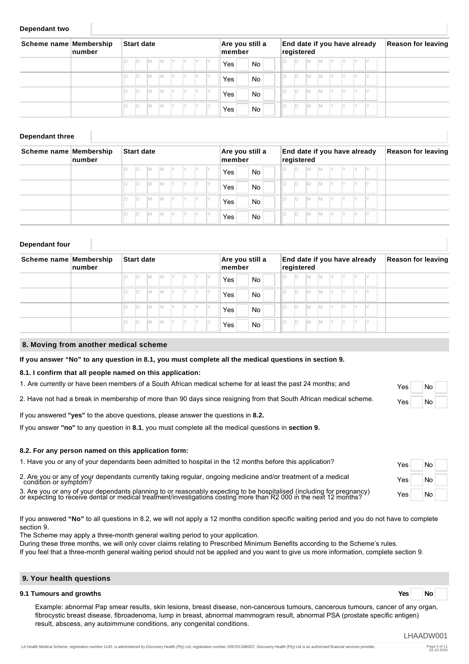#### **Dependant two**

| Scheme name Membership | $\lfloor$ number | <b>Start date</b> |     |     |      |      |             |           | Are you still a<br>member | End date if you have already<br>registered |  |     | <b>Reason for leaving</b> |     |    |     |  |  |
|------------------------|------------------|-------------------|-----|-----|------|------|-------------|-----------|---------------------------|--------------------------------------------|--|-----|---------------------------|-----|----|-----|--|--|
|                        |                  | ID                | IM. | IM. | IY   |      | $Y$ $Y$ $Y$ |           | Yes                       | <b>No</b>                                  |  | ID. | M                         | IM. | IY | IY. |  |  |
|                        |                  | ID                | IM. | IM. | IY   | IY . | IY IY       |           | Yes                       | <b>No</b>                                  |  | ID. | M                         | IM. |    | IY  |  |  |
|                        |                  | ID                | IM. | IM. | IY.  | IY   | IY.         | <b>IY</b> | Yes                       | <b>No</b>                                  |  | D   | M                         | IM. |    |     |  |  |
|                        |                  | ID                | IM. | IM. | ly - | IY.  | IY.         | <b>IY</b> | Yes                       | <b>No</b>                                  |  | D   | M                         | Iм  |    |     |  |  |

### **Dependant three**

| Scheme name Membership | ∣number | Start date |     |     |                           |           | Are you still a<br>∣member |           |     | End date if you have already<br>registered |  |  |     |   |     | <b>Reason for leaving</b> |  |     |  |  |
|------------------------|---------|------------|-----|-----|---------------------------|-----------|----------------------------|-----------|-----|--------------------------------------------|--|--|-----|---|-----|---------------------------|--|-----|--|--|
|                        |         | D          | IM. | IM. | IY                        | IY IY     |                            | - IY      | Yes | No.                                        |  |  | ID. | M | IM. | IY                        |  | -IY |  |  |
|                        |         | ID         | IM. | IM. | $\mathsf{I}$ $\mathsf{Y}$ | IY.<br> Y |                            | <b>IY</b> | Yes | <b>No</b>                                  |  |  | ID. | M | IM. | IY                        |  | IY. |  |  |
|                        |         | ID         | IM. | IM. | IY.                       | IY .      | IY.                        | - IY      | Yes | No.                                        |  |  | D   | M | IM. |                           |  |     |  |  |
|                        |         | ID         | IM. | IM. | Y                         | Y         | IY.                        | IY.       | Yes | <b>No</b>                                  |  |  | D   | M | IM. | Iv                        |  | IV. |  |  |

#### **Dependant four**

| Scheme name Membership | ∣number | Start date |          |     |     |      | Are you still a<br>member |      |      | End date if you have already<br>registered |  |     |     |           |     | <b>Reason for leaving</b> |     |  |  |
|------------------------|---------|------------|----------|-----|-----|------|---------------------------|------|------|--------------------------------------------|--|-----|-----|-----------|-----|---------------------------|-----|--|--|
|                        |         |            | IM.      | IM. | IY. | IY I | IY.                       |      | Yes  | <b>No</b>                                  |  | D   | IM. | <b>IM</b> | IY. |                           |     |  |  |
|                        |         | ID         | İΜ       | IM. | IY. | IY   | IY.                       | IY.  | Yes. | <b>No</b>                                  |  | ID. | M   | <b>M</b>  | IY  |                           |     |  |  |
|                        |         | D          | İΜ       | IM. | IY. | IY.  | IY.                       | IY.  | Yes  | <b>No</b>                                  |  | D   | M   | <b>M</b>  | IY  |                           | IY. |  |  |
|                        |         | D          | <b>M</b> | IM. | IY. | IY.  | IY.                       | - IV | Yes  | <b>No</b>                                  |  | D   | M   | <b>IM</b> |     |                           |     |  |  |

#### **8. Moving from another medical scheme**

#### **If you answer "No" to any question in 8.1, you must complete all the medical questions in section 9.**

#### **8.1. I confirm that all people named on this application:**

1. Are currently or have been members of a South African medical scheme for at least the past 24 months; and

2. Have not had a break in membership of more than 90 days since resigning from that South African medical scheme.

If you answered **"yes"** to the above questions, please answer the questions in **8.2.**

If you answer **"no"** to any question in **8.1**, you must complete all the medical questions in **section 9.**

#### **8.2. For any person named on this application form:**

| 1. Have you or any of your dependants been admitted to hospital in the 12 months before this application?                                                                                                                     | Yes <sub>1</sub> | <b>No</b> |  |
|-------------------------------------------------------------------------------------------------------------------------------------------------------------------------------------------------------------------------------|------------------|-----------|--|
| 2. Are you or any of your dependants currently taking regular, ongoing medicine and/or treatment of a medical condition or symptom?                                                                                           | Yes              | No        |  |
| 3. Are you or any of your dependants planning to or reasonably expecting to be hospitalised (including for pregnancy) or expecting to receive dental or medical treatment/investigations costing more than R2 000 in the next | Yes <sub>1</sub> | No        |  |

If you answered "No" to all questions in 8.2, we will not apply a 12 months condition specific waiting period and you do not have section 9.

The Scheme may apply a three-month general waiting period to your application. During these three months, we will only cover claims relating to Prescribed Minimum Benefits according to the Scheme's rules.

If you feel that a three-month general waiting period should not be applied and you want to give us more information, complete section 9.

## **9. Your health questions**

## **9.1 Tumours and growths Yes No**

Example: abnormal Pap smear results, skin lesions, breast disease, non-cancerous tumours, cancerous tumours, cancer of any organ, fibrocystic breast disease, fibroadenoma, lump in breast, abnormal mammogram result, abnormal PSA (prostate specific antigen) result, abscess, any autoimmune conditions, any congenital conditions.

| Yes | No |  |
|-----|----|--|
| Yes | No |  |

| to complete |  |
|-------------|--|
|             |  |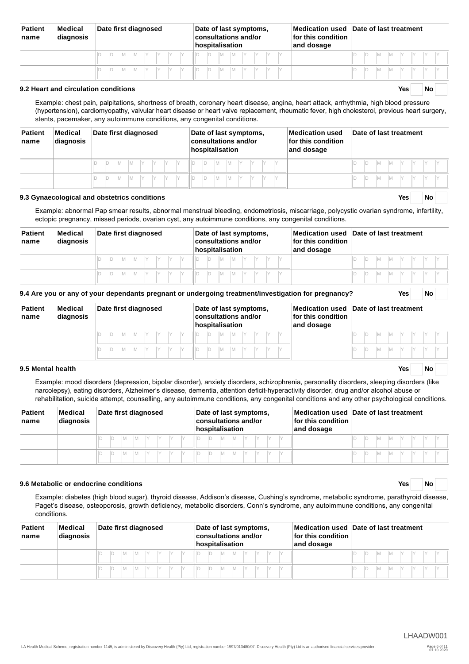| <b>Patient</b><br>name | Medical<br>diagnosis | Date first diagnosed | Date of last symptoms,<br>consultations and/or<br>hospitalisation | for this condition<br>and dosage | Medication used Date of last treatment |
|------------------------|----------------------|----------------------|-------------------------------------------------------------------|----------------------------------|----------------------------------------|
|                        |                      | IV                   | M<br>M<br>Шī                                                      |                                  | IV<br>IМ<br>IV<br>IV<br>M              |
|                        |                      | IV                   | M                                                                 |                                  | IV<br>M                                |

#### **9.2 Heart and circulation conditions Yes No**

Example: chest pain, palpitations, shortness of breath, coronary heart disease, angina, heart attack, arrhythmia, high blood pressure (hypertension), cardiomyopathy, valvular heart disease or heart valve replacement, rheumatic fever, high cholesterol, previous heart surgery, stents, pacemaker, any autoimmune conditions, any congenital conditions.

| <b>Patient</b><br>name | Medical<br>diagnosis | Date first diagnosed                      | Date of last symptoms,<br>consultations and/or<br>hospitalisation | Medication used<br>for this condition<br>and dosage | Date of last treatment   |  |  |  |  |
|------------------------|----------------------|-------------------------------------------|-------------------------------------------------------------------|-----------------------------------------------------|--------------------------|--|--|--|--|
|                        |                      | IM.                                       | - IIID<br>$M \quad Y \quad Y$<br>ID<br>-IM                        |                                                     | IM .                     |  |  |  |  |
|                        |                      | IY.<br>IY<br>IY.<br>$\vee$<br>IM.<br>- IM | - II D<br><b>M</b><br>ID<br>IY.<br>IY.<br>$\vee$<br><b>IM</b>     |                                                     | <b>IM</b><br>IY.<br>- IV |  |  |  |  |

#### **9.3 Gynaecological and obstetrics conditions Yes No**

Example: abnormal Pap smear results, abnormal menstrual bleeding, endometriosis, miscarriage, polycystic ovarian syndrome, infertility, ectopic pregnancy, missed periods, ovarian cyst, any autoimmune conditions, any congenital conditions.

| <b>Patient</b><br>name | Medical<br>diagnosis | Date first diagnosed | Date of last symptoms,<br><b>consultations and/or</b><br>hospitalisation | for this condition<br>and dosage | Medication used Date of last treatment |
|------------------------|----------------------|----------------------|--------------------------------------------------------------------------|----------------------------------|----------------------------------------|
|                        |                      | IМ<br>M<br>IY.       | D<br>M<br>IM.                                                            |                                  | IM.<br>IY.<br>IY I<br>IM.              |
|                        |                      | IМ<br>M<br>IV        | M<br>IM.<br>D                                                            |                                  | IM.<br>IM.<br>IV<br>$\vee$             |
|                        |                      |                      |                                                                          |                                  |                                        |

**9.4 Are you or any of your dependants pregnant or undergoing treatment/investigation for pregnancy? Yes No**

| <b>Patient</b><br>name | Medical<br>Date first diagnosed<br>diagnosis |         | Date of last symptoms,<br><b>consultations and/or</b><br>hospitalisation | for this condition<br>and dosage | Medication used Date of last treatment |  |  |  |  |
|------------------------|----------------------------------------------|---------|--------------------------------------------------------------------------|----------------------------------|----------------------------------------|--|--|--|--|
|                        |                                              | IV<br>M | IM.<br>Iv<br>M<br>ШT                                                     |                                  | IV<br>IM.<br>IV.<br>IV<br>'M           |  |  |  |  |
|                        |                                              | M<br>IV | M<br>- III P<br>M<br>Iv                                                  |                                  | <b>IM</b><br>$\vee$<br>M               |  |  |  |  |

#### **9.5 Mental health Yes No**

Example: mood disorders (depression, bipolar disorder), anxiety disorders, schizophrenia, personality disorders, sleeping disorders (like narcolepsy), eating disorders, Alzheimer's disease, dementia, attention deficit-hyperactivity disorder, drug and/or alcohol abuse or rehabilitation, suicide attempt, counselling, any autoimmune conditions, any congenital conditions and any other psychological conditions.

| <b>Patient</b><br>name | Medical<br>diagnosis | Date first diagnosed  | Date of last symptoms,<br>consultations and/or<br>hospitalisation | for this condition<br>and dosage | Medication used Date of last treatment |  |  |  |  |
|------------------------|----------------------|-----------------------|-------------------------------------------------------------------|----------------------------------|----------------------------------------|--|--|--|--|
|                        |                      | $\vee$<br>- IY<br>IM. | III D<br>IM.<br>IM.                                               |                                  |                                        |  |  |  |  |
|                        |                      | M<br>Iv<br>IM.        |                                                                   |                                  |                                        |  |  |  |  |

## **9.6 Metabolic or endocrine conditions Yes No**

Example: diabetes (high blood sugar), thyroid disease, Addison's disease, Cushing's syndrome, metabolic syndrome, parathyroid disease, Paget's disease, osteoporosis, growth deficiency, metabolic disorders, Conn's syndrome, any autoimmune conditions, any congenital conditions.

| <b>Patient</b><br>name | Medical<br>diagnosis | Date first diagnosed | Date of last symptoms,<br>$ $ consultations and/or<br>hospitalisation | for this condition<br>and dosage | Medication used Date of last treatment |  |  |  |  |
|------------------------|----------------------|----------------------|-----------------------------------------------------------------------|----------------------------------|----------------------------------------|--|--|--|--|
|                        |                      | M<br>IM.             | ID.<br>IM.<br>IM.                                                     |                                  | IM.<br> Y                              |  |  |  |  |
|                        |                      | M<br>IM.             | IM.                                                                   |                                  | IV.<br><b>M</b><br>IM.                 |  |  |  |  |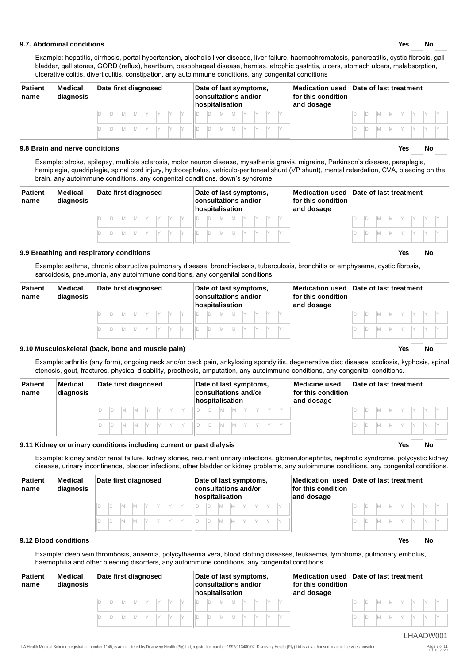#### **9.7. Abdominal conditions Yes No**

Example: hepatitis, cirrhosis, portal hypertension, alcoholic liver disease, liver failure, haemochromatosis, pancreatitis, cystic fibrosis, gall bladder, gall stones, GORD (reflux), heartburn, oesophageal disease, hernias, atrophic gastritis, ulcers, stomach ulcers, malabsorption, ulcerative colitis, diverticulitis, constipation, any autoimmune conditions, any congenital conditions

| <b>Patient</b><br>name | Medical<br>diagnosis           |        |                |  | Date first diagnosed    | Date of last symptoms,<br><b>consultations and/or</b><br>hospitalisation | for this condition<br>and dosage | Medication used Date of last treatment |  |  |  |  |  |
|------------------------|--------------------------------|--------|----------------|--|-------------------------|--------------------------------------------------------------------------|----------------------------------|----------------------------------------|--|--|--|--|--|
|                        |                                | IМ     | ID.<br>Iм<br>M |  | IM.<br>M                |                                                                          |                                  |                                        |  |  |  |  |  |
|                        |                                | M<br>M | M<br>Iм        |  | İΜ<br>IM                |                                                                          |                                  |                                        |  |  |  |  |  |
|                        | 9.8 Brain and nerve conditions |        |                |  | <b>No</b><br><b>Yes</b> |                                                                          |                                  |                                        |  |  |  |  |  |

Example: stroke, epilepsy, multiple sclerosis, motor neuron disease, myasthenia gravis, migraine, Parkinson's disease, paraplegia, hemiplegia, quadriplegia, spinal cord injury, hydrocephalus, vetriculo-peritoneal shunt (VP shunt), mental retardation, CVA, bleeding on the brain, any autoimmune conditions, any congenital conditions, down's syndrome.

| <b>Patient</b><br>name | Medical<br>diagnosis | Date first diagnosed | Date of last symptoms,<br>consultations and/or<br>hospitalisation | for this condition<br>and dosage | Medication used Date of last treatment |
|------------------------|----------------------|----------------------|-------------------------------------------------------------------|----------------------------------|----------------------------------------|
|                        |                      | IM.                  | ID.<br>M<br><b>M</b>                                              |                                  |                                        |
|                        |                      | IМ<br>IV.            | M<br>IM.<br>IV.                                                   |                                  | Iм<br>$\vee$                           |

#### **9.9 Breathing and respiratory conditions Yes No**

Example: asthma, chronic obstructive pulmonary disease, bronchiectasis, tuberculosis, bronchitis or emphysema, cystic fibrosis, sarcoidosis, pneumonia, any autoimmune conditions, any congenital conditions.

| <b>Patient</b><br>name | Medical<br>diagnosis | Date first diagnosed | Date of last symptoms,<br>$ $ consultations and/or<br>hospitalisation | for this condition $\overline{\phantom{a}}$<br>and dosage | Medication used Date of last treatment |
|------------------------|----------------------|----------------------|-----------------------------------------------------------------------|-----------------------------------------------------------|----------------------------------------|
|                        |                      | IM<br>IV<br>IV       | M<br><b>IM</b>                                                        |                                                           | IM.<br>IV.<br>IY                       |
|                        |                      | M                    | M                                                                     |                                                           | IM.                                    |

#### **9.10 Musculoskeletal (back, bone and muscle pain) Yes No**

Example: arthritis (any form), ongoing neck and/or back pain, ankylosing spondylitis, degenerative disc disease, scoliosis, kyphosis, spinal stenosis, gout, fractures, physical disability, prosthesis, amputation, any autoimmune conditions, any congenital conditions.

| <b>Patient</b><br>name | Medical<br>diagnosis | Date first diagnosed | Date of last symptoms,<br><b>consultations and/or</b><br>hospitalisation | Medicine used<br>for this condition<br>and dosage | Date of last treatment |
|------------------------|----------------------|----------------------|--------------------------------------------------------------------------|---------------------------------------------------|------------------------|
|                        |                      | M<br>Iм              | ID.<br>IМ<br>IМ                                                          |                                                   | M<br>IY<br>1M          |
|                        |                      | M<br>M               | M                                                                        |                                                   | IV<br>M                |

#### **9.11 Kidney or urinary conditions including current or past dialysis Yes No**

Example: kidney and/or renal failure, kidney stones, recurrent urinary infections, glomerulonephritis, nephrotic syndrome, polycystic kidney disease, urinary incontinence, bladder infections, other bladder or kidney problems, any autoimmune conditions, any congenital conditions.

| <b>Patient</b><br>name | Medical<br>diagnosis | Date first diagnosed        | Date of last symptoms,<br>consultations and/or<br>hospitalisation | for this condition<br>and dosage | Medication used Date of last treatment |
|------------------------|----------------------|-----------------------------|-------------------------------------------------------------------|----------------------------------|----------------------------------------|
|                        |                      | IM.<br>IY.<br>IM.           | Iм                                                                |                                  |                                        |
|                        |                      | IM.<br>IV.<br>M<br>IV<br>IV | D.<br>IM.<br>IM.                                                  |                                  |                                        |

#### **9.12 Blood conditions Yes No**

Example: deep vein thrombosis, anaemia, polycythaemia vera, blood clotting diseases, leukaemia, lymphoma, pulmonary embolus, haemophilia and other bleeding disorders, any autoimmune conditions, any congenital conditions.

| <b>Patient</b><br>name | Medical<br>diagnosis |  |     |         | Date first diagnosed |      |           |     | hospitalisation | Date of last symptoms,<br>consultations and/or |  | Medication used Date of last treatment<br>for this condition $\overline{\phantom{a}}$<br>and dosage |  |     |           |    |           |  |
|------------------------|----------------------|--|-----|---------|----------------------|------|-----------|-----|-----------------|------------------------------------------------|--|-----------------------------------------------------------------------------------------------------|--|-----|-----------|----|-----------|--|
|                        |                      |  |     | $M$ $Y$ | IY .                 | IY . | <b>HD</b> | IM. | M               | IY                                             |  |                                                                                                     |  | IM. |           |    | M Y Y Y Y |  |
|                        |                      |  | IM. | IM.     | IY .                 |      |           | IM. | IM.             | IY.                                            |  |                                                                                                     |  | İМ  | <b>IM</b> | IY |           |  |

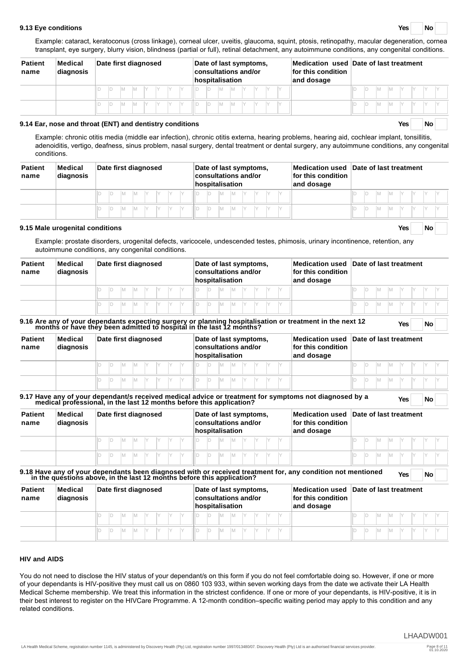#### **9.13 Eye conditions Yes No**

Example: cataract, keratoconus (cross linkage), corneal ulcer, uveitis, glaucoma, squint, ptosis, retinopathy, macular degeneration, cornea transplant, eye surgery, blurry vision, blindness (partial or full), retinal detachment, any autoimmune conditions, any congenital conditions.

| <b>Patient</b><br>name | Medical<br>diagnosis | Date first diagnosed | Date of last symptoms,<br>consultations and/or<br>hospitalisation | for this condition<br>and dosage | Medication used Date of last treatment |
|------------------------|----------------------|----------------------|-------------------------------------------------------------------|----------------------------------|----------------------------------------|
|                        |                      | IV.                  | IM.                                                               |                                  | IM.<br>$\mathsf{Y}$                    |
|                        |                      | IV.                  | IM.                                                               |                                  | IM.<br>IV.                             |

## **9.14 Ear, nose and throat (ENT) and dentistry conditions Yes No**

Example: chronic otitis media (middle ear infection), chronic otitis externa, hearing problems, hearing aid, cochlear implant, tonsillitis, adenoiditis, vertigo, deafness, sinus problem, nasal surgery, dental treatment or dental surgery, any autoimmune conditions, any congenital conditions.

| <b>Patient</b><br>name | Medical<br>diagnosis |  | Date first diagnosed |    |    |  |  |     | Date of last symptoms,<br>consultations and/or<br>hospitalisation |     |  |  | Medication used Date of last treatment<br>for this condition $\overline{\phantom{a}}$<br>and dosage |  |           |      |  |  |
|------------------------|----------------------|--|----------------------|----|----|--|--|-----|-------------------------------------------------------------------|-----|--|--|-----------------------------------------------------------------------------------------------------|--|-----------|------|--|--|
|                        |                      |  |                      | Iv | IY |  |  | M   | IM.                                                               | IY. |  |  |                                                                                                     |  | IM.       | IY . |  |  |
|                        |                      |  |                      |    |    |  |  | IM. | IM.                                                               | IY  |  |  |                                                                                                     |  | <b>IM</b> | IV   |  |  |

#### **9.15 Male urogenital conditions Yes No**

Example: prostate disorders, urogenital defects, varicocele, undescended testes, phimosis, urinary incontinence, retention, any autoimmune conditions, any congenital conditions.

| <b>Patient</b><br>name | Medical<br>diagnosis |  | Date first diagnosed |     |  |  |  |   | Date of last symptoms,<br>consultations and/or<br>hospitalisation |  |  | Medication used Date of last treatment<br>for this condition<br>and dosage |  |  |  |  |
|------------------------|----------------------|--|----------------------|-----|--|--|--|---|-------------------------------------------------------------------|--|--|----------------------------------------------------------------------------|--|--|--|--|
|                        |                      |  |                      |     |  |  |  | M |                                                                   |  |  |                                                                            |  |  |  |  |
|                        |                      |  | M                    | IV. |  |  |  | M |                                                                   |  |  |                                                                            |  |  |  |  |

| <b>Patient</b><br>name | Medical<br>diagnosis |  | Date first diagnosed |  |  |  |  | Date of last symptoms,<br>consultations and/or<br>hospitalisation |  |  | Medication used Date of last treatment<br>for this condition<br>and dosage |  |  |  |  |
|------------------------|----------------------|--|----------------------|--|--|--|--|-------------------------------------------------------------------|--|--|----------------------------------------------------------------------------|--|--|--|--|
|                        |                      |  |                      |  |  |  |  |                                                                   |  |  |                                                                            |  |  |  |  |
|                        |                      |  |                      |  |  |  |  |                                                                   |  |  |                                                                            |  |  |  |  |

| <b>Patient</b><br>name | Medical<br>diagnosis | Date first diagnosed | Date of last symptoms,<br>consultations and/or<br>$\sf In$ ospitalisation | for this condition $\,$<br>and dosage | Medication used Date of last treatment |
|------------------------|----------------------|----------------------|---------------------------------------------------------------------------|---------------------------------------|----------------------------------------|
|                        |                      | IM.<br>IM.           | IM.                                                                       |                                       |                                        |
|                        |                      | IM.<br>$\vee$<br>IV  | IV.<br>IM.                                                                |                                       |                                        |

|                        |                      | 9.18 Have any of your dependants been diagnosed with or received treatment for, any condition not mentioned in<br>in the questions above, in the last 12 months before this application? |                                                                   |                                  | <b>Yes</b><br>No                       |
|------------------------|----------------------|------------------------------------------------------------------------------------------------------------------------------------------------------------------------------------------|-------------------------------------------------------------------|----------------------------------|----------------------------------------|
| <b>Patient</b><br>name | Medical<br>diagnosis | Date first diagnosed                                                                                                                                                                     | Date of last symptoms,<br>consultations and/or<br>hospitalisation | for this condition<br>and dosage | Medication used Date of last treatment |
|                        |                      |                                                                                                                                                                                          | M                                                                 |                                  | 'M<br>1M                               |
|                        |                      |                                                                                                                                                                                          |                                                                   |                                  | $\vee$<br>M<br><b>IM</b>               |

#### **HIV and AIDS**

You do not need to disclose the HIV status of your dependant/s on this form if you do not feel comfortable doing so. However, if one or more of your dependants is HIV-positive they must call us on 0860 103 933, within seven working days from the date we activate their LA Health Medical Scheme membership. We treat this information in the strictest confidence. If one or more of your dependants, is HIV-positive, it is in their best interest to register on the HIVCare Programme. A 12-month condition–specific waiting period may apply to this condition and any related conditions.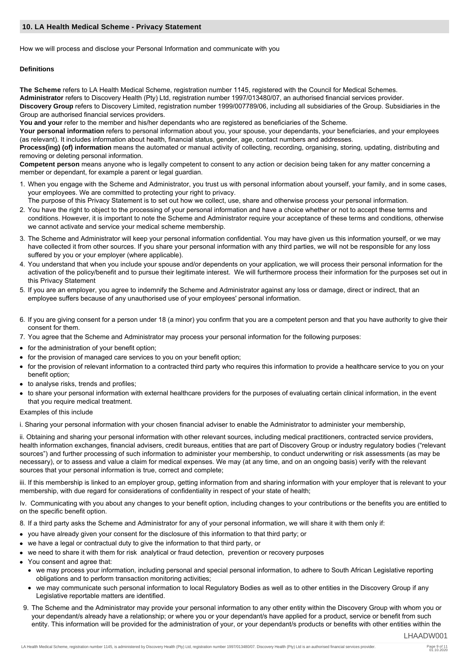#### **10. LA Health Medical Scheme - Privacy Statement**

How we will process and disclose your Personal Information and communicate with you

### **Definitions**

**The Scheme** refers to LA Health Medical Scheme, registration number 1145, registered with the Council for Medical Schemes. **Administrator** refers to Discovery Health (Pty) Ltd, registration number 1997/013480/07, an authorised financial services provider. **Discovery Group** refers to Discovery Limited, registration number 1999/007789/06, including all subsidiaries of the Group. Subsidiaries in the Group are authorised financial services providers.

You and your refer to the member and his/her dependants who are registered as beneficiaries of the Scheme.

**Your personal information** refers to personal information about you, your spouse, your dependants, your beneficiaries, and your employees (as relevant). It includes information about health, financial status, gender, age, contact numbers and addresses.

**Process(ing) (of) information** means the automated or manual activity of collecting, recording, organising, storing, updating, distributing and removing or deleting personal information.

**Competent person** means anyone who is legally competent to consent to any action or decision being taken for any matter concerning a member or dependant, for example a parent or legal guardian.

1. When you engage with the Scheme and Administrator, you trust us with personal information about yourself, your family, and in some cases, your employees. We are committed to protecting your right to privacy.

The purpose of this Privacy Statement is to set out how we collect, use, share and otherwise process your personal information.

- 2. You have the right to object to the processing of your personal information and have a choice whether or not to accept these terms and conditions. However, it is important to note the Scheme and Administrator require your acceptance of these terms and conditions, otherwise we cannot activate and service your medical scheme membership.
- 3. The Scheme and Administrator will keep your personal information confidential. You may have given us this information yourself, or we may have collected it from other sources. If you share your personal information with any third parties, we will not be responsible for any loss suffered by you or your employer (where applicable).
- 4. You understand that when you include your spouse and/or dependents on your application, we will process their personal information for the activation of the policy/benefit and to pursue their legitimate interest. We will furthermore process their information for the purposes set out in this Privacy Statement
- 5. If you are an employer, you agree to indemnify the Scheme and Administrator against any loss or damage, direct or indirect, that an employee suffers because of any unauthorised use of your employees' personal information.
- 6. If you are giving consent for a person under 18 (a minor) you confirm that you are a competent person and that you have authority to give their consent for them.
- 7. You agree that the Scheme and Administrator may process your personal information for the following purposes:
- for the administration of your benefit option;
- for the provision of managed care services to you on your benefit option;
- for the provision of relevant information to a contracted third party who requires this information to provide a healthcare service to you on your benefit option;
- to analyse risks, trends and profiles;
- to share your personal information with external healthcare providers for the purposes of evaluating certain clinical information, in the event that you require medical treatment.

#### Examples of this include

i. Sharing your personal information with your chosen financial adviser to enable the Administrator to administer your membership,

ii. Obtaining and sharing your personal information with other relevant sources, including medical practitioners, contracted service providers, health information exchanges, financial advisers, credit bureaus, entities that are part of Discovery Group or industry regulatory bodies ("relevant sources") and further processing of such information to administer your membership, to conduct underwriting or risk assessments (as may be necessary), or to assess and value a claim for medical expenses. We may (at any time, and on an ongoing basis) verify with the relevant sources that your personal information is true, correct and complete;

iii. If this membership is linked to an employer group, getting information from and sharing information with your employer that is relevant to your membership, with due regard for considerations of confidentiality in respect of your state of health;

Iv. Communicating with you about any changes to your benefit option, including changes to your contributions or the benefits you are entitled to on the specific benefit option.

- 8. If a third party asks the Scheme and Administrator for any of your personal information, we will share it with them only if:
- vou have already given your consent for the disclosure of this information to that third party; or
- we have a legal or contractual duty to give the information to that third party, or
- we need to share it with them for risk analytical or fraud detection, prevention or recovery purposes
- You consent and agree that:
	- we may process your information, including personal and special personal information, to adhere to South African Legislative reporting obligations and to perform transaction monitoring activities;
	- we may communicate such personal information to local Regulatory Bodies as well as to other entities in the Discovery Group if any Legislative reportable matters are identified.
- 9. The Scheme and the Administrator may provide your personal information to any other entity within the Discovery Group with whom you or your dependant/s already have a relationship; or where you or your dependant/s have applied for a product, service or benefit from such entity. This information will be provided for the administration of your, or your dependant/s products or benefits with other entities within the

LHAADW001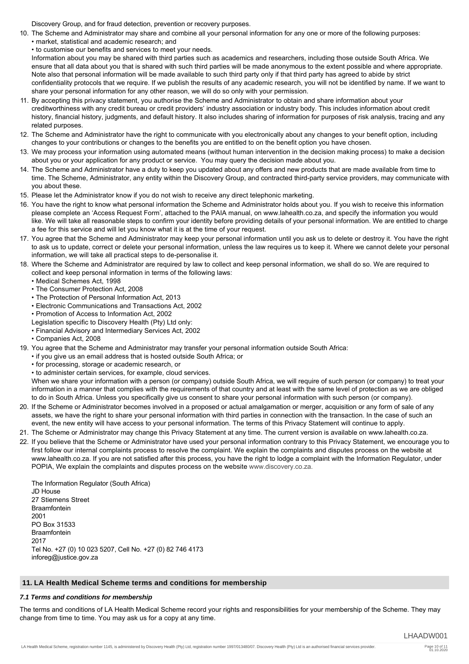Discovery Group, and for fraud detection, prevention or recovery purposes.

- 10. The Scheme and Administrator may share and combine all your personal information for any one or more of the following purposes:
	- market, statistical and academic research; and
	- to customise our benefits and services to meet your needs.

Information about you may be shared with third parties such as academics and researchers, including those outside South Africa. We ensure that all data about you that is shared with such third parties will be made anonymous to the extent possible and where appropriate. Note also that personal information will be made available to such third party only if that third party has agreed to abide by strict confidentiality protocols that we require. If we publish the results of any academic research, you will not be identified by name. If we want to share your personal information for any other reason, we will do so only with your permission.

- 11. By accepting this privacy statement, you authorise the Scheme and Administrator to obtain and share information about your creditworthiness with any credit bureau or credit providers' industry association or industry body. This includes information about credit history, financial history, judgments, and default history. It also includes sharing of information for purposes of risk analysis, tracing and any related purposes.
- 12. The Scheme and Administrator have the right to communicate with you electronically about any changes to your benefit option, including changes to your contributions or changes to the benefits you are entitled to on the benefit option you have chosen.
- 13. We may process your information using automated means (without human intervention in the decision making process) to make a decision about you or your application for any product or service. You may query the decision made about you.
- 14. The Scheme and Administrator have a duty to keep you updated about any offers and new products that are made available from time to time. The Scheme, Administrator, any entity within the Discovery Group, and contracted third-party service providers, may communicate with you about these.
- 15. Please let the Administrator know if you do not wish to receive any direct telephonic marketing.
- 16. You have the right to know what personal information the Scheme and Administrator holds about you. If you wish to receive this information please complete an 'Access Request Form', attached to the PAIA manual, on www.lahealth.co.za, and specify the information you would like. We will take all reasonable steps to confirm your identity before providing details of your personal information. We are entitled to charge a fee for this service and will let you know what it is at the time of your request.
- 17. You agree that the Scheme and Administrator may keep your personal information until you ask us to delete or destroy it. You have the right to ask us to update, correct or delete your personal information, unless the law requires us to keep it. Where we cannot delete your personal information, we will take all practical steps to de-personalise it.
- 18. Where the Scheme and Administrator are required by law to collect and keep personal information, we shall do so. We are required to collect and keep personal information in terms of the following laws:
	- Medical Schemes Act, 1998
	- The Consumer Protection Act, 2008
	- The Protection of Personal Information Act, 2013
	- Electronic Communications and Transactions Act, 2002
	- Promotion of Access to Information Act, 2002
	- Legislation specific to Discovery Health (Pty) Ltd only:
	- Financial Advisory and Intermediary Services Act, 2002
	- Companies Act, 2008
- 19. You agree that the Scheme and Administrator may transfer your personal information outside South Africa:
	- if you give us an email address that is hosted outside South Africa; or
	- for processing, storage or academic research, or
	- to administer certain services, for example, cloud services.

When we share your information with a person (or company) outside South Africa, we will require of such person (or company) to treat your information in a manner that complies with the requirements of that country and at least with the same level of protection as we are obliged to do in South Africa. Unless you specifically give us consent to share your personal information with such person (or company).

- 20. If the Scheme or Administrator becomes involved in a proposed or actual amalgamation or merger, acquisition or any form of sale of any assets, we have the right to share your personal information with third parties in connection with the transaction. In the case of such an event, the new entity will have access to your personal information. The terms of this Privacy Statement will continue to apply.
- 21. The Scheme or Administrator may change this Privacy Statement at any time. The current version is available on www.lahealth.co.za.
- 22. If you believe that the Scheme or Administrator have used your personal information contrary to this Privacy Statement, we encourage you to first follow our internal complaints process to resolve the complaint. We explain the complaints and disputes process on the website at www.lahealth.co.za. If you are not satisfied after this process, you have the right to lodge a complaint with the Information Regulator, under POPIA, We explain the complaints and disputes process on the website [www.discovery.co.za.](http://www.discovery.co.za.)

The Information Regulator (South Africa) JD House 27 Stiemens Street Braamfontein 2001 PO Box 31533 Braamfontein 2017 Tel No. +27 (0) 10 023 5207, Cell No. +27 (0) 82 746 4173 inforeg@justice.gov.za

## **11. LA Health Medical Scheme terms and conditions for membership**

#### *7.1 Terms and conditions for membership*

The terms and conditions of LA Health Medical Scheme record your rights and responsibilities for your membership of the Scheme. They may change from time to time. You may ask us for a copy at any time.